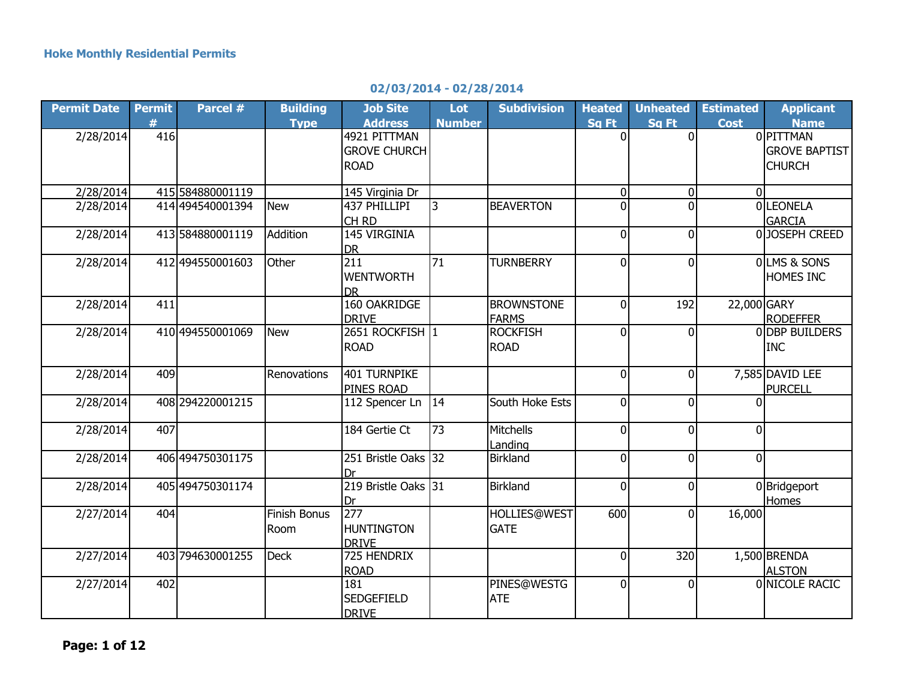## **02/03/2014 - 02/28/2014**

| <b>Permit Date</b> | <b>Permit</b> | Parcel #         | <b>Building</b>     | <b>Job Site</b>       | Lot           | <b>Subdivision</b>  | <b>Heated</b>  | <b>Unheated</b> | <b>Estimated</b> | <b>Applicant</b>               |
|--------------------|---------------|------------------|---------------------|-----------------------|---------------|---------------------|----------------|-----------------|------------------|--------------------------------|
|                    | #             |                  | <b>Type</b>         | <b>Address</b>        | <b>Number</b> |                     | Sq Ft          | Sq Ft           | <b>Cost</b>      | <b>Name</b>                    |
| 2/28/2014          | 416           |                  |                     | 4921 PITTMAN          |               |                     | $\Omega$       | <sup>0</sup>    |                  | <b>OIPITTMAN</b>               |
|                    |               |                  |                     | <b>GROVE CHURCH</b>   |               |                     |                |                 |                  | <b>GROVE BAPTIST</b>           |
|                    |               |                  |                     | <b>ROAD</b>           |               |                     |                |                 |                  | <b>CHURCH</b>                  |
|                    |               |                  |                     |                       |               |                     |                |                 |                  |                                |
| 2/28/2014          |               | 415 584880001119 |                     | 145 Virginia Dr       |               |                     | $\overline{0}$ | $\Omega$        | $\overline{0}$   |                                |
| 2/28/2014          |               | 414 494540001394 | <b>New</b>          | 437 PHILLIPI          | 3             | <b>BEAVERTON</b>    | $\Omega$       |                 |                  | <b>OLEONELA</b>                |
|                    |               | 413 584880001119 | Addition            | CH RD<br>145 VIRGINIA |               |                     | $\Omega$       | 0               |                  | <b>GARCIA</b><br>0JOSEPH CREED |
| 2/28/2014          |               |                  |                     | <b>DR</b>             |               |                     |                |                 |                  |                                |
| 2/28/2014          |               | 412 494550001603 | Other               | 211                   | 71            | <b>TURNBERRY</b>    | $\Omega$       | $\Omega$        |                  | OLMS & SONS                    |
|                    |               |                  |                     | <b>WENTWORTH</b>      |               |                     |                |                 |                  | HOMES INC                      |
|                    |               |                  |                     | <b>DR</b>             |               |                     |                |                 |                  |                                |
| 2/28/2014          | 411           |                  |                     | 160 OAKRIDGE          |               | <b>BROWNSTONE</b>   | $\overline{0}$ | 192             | 22,000 GARY      |                                |
|                    |               |                  |                     | <b>DRIVE</b>          |               | FARMS               |                |                 |                  | <b>RODEFFER</b>                |
| 2/28/2014          |               | 410 494550001069 | <b>New</b>          | 2651 ROCKFISH 1       |               | <b>ROCKFISH</b>     | $\Omega$       | $\Omega$        |                  | 0 DBP BUILDERS                 |
|                    |               |                  |                     | <b>ROAD</b>           |               | <b>ROAD</b>         |                |                 |                  | <b>INC</b>                     |
|                    |               |                  |                     |                       |               |                     |                |                 |                  |                                |
| 2/28/2014          | 409           |                  | Renovations         | 401 TURNPIKE          |               |                     | $\overline{0}$ | $\overline{0}$  |                  | 7,585 DAVID LEE                |
|                    |               |                  |                     | <b>PINES ROAD</b>     |               |                     |                |                 |                  | <b>PURCELL</b>                 |
| 2/28/2014          |               | 408 294220001215 |                     | 112 Spencer Ln        | 14            | South Hoke Ests     | $\overline{0}$ | $\overline{0}$  | $\Omega$         |                                |
|                    |               |                  |                     |                       |               |                     |                |                 |                  |                                |
| 2/28/2014          | 407           |                  |                     | 184 Gertie Ct         | 73            | Mitchells           | $\overline{0}$ | $\overline{0}$  | $\Omega$         |                                |
|                    |               |                  |                     |                       |               | Landing             |                |                 |                  |                                |
| 2/28/2014          |               | 406 494750301175 |                     | 251 Bristle Oaks 32   |               | Birkland            | $\overline{0}$ | $\overline{0}$  | $\overline{0}$   |                                |
|                    |               |                  |                     | Dr                    |               |                     |                |                 |                  |                                |
| 2/28/2014          |               | 405 494750301174 |                     | 219 Bristle Oaks 31   |               | Birkland            | $\overline{0}$ | $\overline{0}$  |                  | 0 Bridgeport                   |
| 2/27/2014          | 404           |                  | <b>Finish Bonus</b> | Dr<br>277             |               | <b>HOLLIES@WEST</b> | 600            | $\overline{0}$  | 16,000           | Homes                          |
|                    |               |                  |                     | <b>HUNTINGTON</b>     |               | <b>GATE</b>         |                |                 |                  |                                |
|                    |               |                  | Room                | <b>DRIVE</b>          |               |                     |                |                 |                  |                                |
| 2/27/2014          |               | 403 794630001255 | <b>Deck</b>         | 725 HENDRIX           |               |                     | $\overline{0}$ | 320             |                  | 1,500 BRENDA                   |
|                    |               |                  |                     | <b>ROAD</b>           |               |                     |                |                 |                  | <b>ALSTON</b>                  |
| 2/27/2014          | 402           |                  |                     | 181                   |               | PINES@WESTG         | $\Omega$       | $\Omega$        |                  | 0 NICOLE RACIC                 |
|                    |               |                  |                     | <b>SEDGEFIELD</b>     |               | <b>ATE</b>          |                |                 |                  |                                |
|                    |               |                  |                     | <b>DRIVE</b>          |               |                     |                |                 |                  |                                |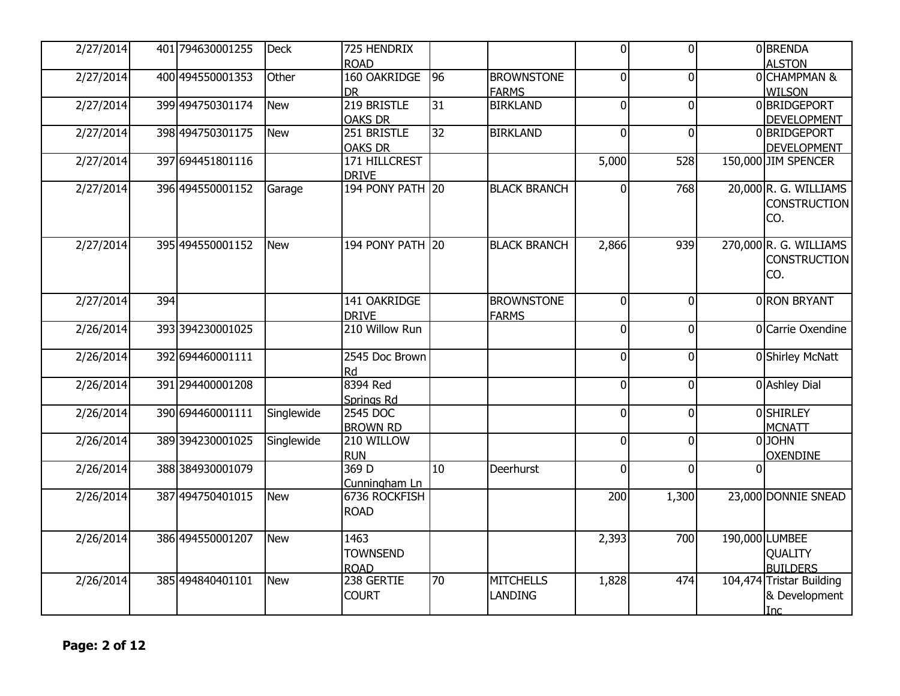| 2/27/2014 |     | 401 794630001255 | <b>Deck</b> | 725 HENDRIX      |                 |                     | $\overline{0}$ | 0              |          | 0BRENDA                  |
|-----------|-----|------------------|-------------|------------------|-----------------|---------------------|----------------|----------------|----------|--------------------------|
|           |     |                  |             | <b>ROAD</b>      |                 |                     |                |                |          | <b>ALSTON</b>            |
| 2/27/2014 |     | 400 494550001353 | Other       | 160 OAKRIDGE     | $\overline{96}$ | <b>BROWNSTONE</b>   | $\Omega$       | $\Omega$       |          | OCHAMPMAN&               |
|           |     |                  |             | <b>DR</b>        |                 | <b>FARMS</b>        |                |                |          | <b>WILSON</b>            |
| 2/27/2014 |     | 399 494750301174 | <b>New</b>  | 219 BRISTLE      | 31              | <b>BIRKLAND</b>     | 0              | $\overline{0}$ |          | 0BRIDGEPORT              |
|           |     |                  |             | <b>OAKS DR</b>   |                 |                     |                |                |          | <b>DEVELOPMENT</b>       |
| 2/27/2014 |     | 398 494750301175 | <b>New</b>  | 251 BRISTLE      | 32              | <b>BIRKLAND</b>     | $\Omega$       | $\Omega$       |          | 0BRIDGEPORT              |
|           |     |                  |             | <b>OAKS DR</b>   |                 |                     |                |                |          | <b>DEVELOPMENT</b>       |
| 2/27/2014 |     | 397 694451801116 |             | 171 HILLCREST    |                 |                     | 5,000          | 528            |          | 150,000 JIM SPENCER      |
|           |     |                  |             | <b>DRIVE</b>     |                 |                     |                |                |          |                          |
| 2/27/2014 |     | 396 494550001152 | Garage      | 194 PONY PATH 20 |                 | <b>BLACK BRANCH</b> | $\Omega$       | 768            |          | 20,000 R. G. WILLIAMS    |
|           |     |                  |             |                  |                 |                     |                |                |          | <b>CONSTRUCTION</b>      |
|           |     |                  |             |                  |                 |                     |                |                |          | CO.                      |
|           |     |                  |             |                  |                 |                     |                |                |          |                          |
| 2/27/2014 |     | 395 494550001152 | <b>New</b>  | 194 PONY PATH 20 |                 | <b>BLACK BRANCH</b> | 2,866          | 939            |          | 270,000 R. G. WILLIAMS   |
|           |     |                  |             |                  |                 |                     |                |                |          | <b>CONSTRUCTION</b>      |
|           |     |                  |             |                  |                 |                     |                |                |          | CO.                      |
| 2/27/2014 | 394 |                  |             | 141 OAKRIDGE     |                 | <b>BROWNSTONE</b>   | 0              | $\overline{0}$ |          | 0 RON BRYANT             |
|           |     |                  |             | <b>DRIVE</b>     |                 |                     |                |                |          |                          |
| 2/26/2014 |     | 393 394230001025 |             | 210 Willow Run   |                 | <b>FARMS</b>        | $\Omega$       | $\mathbf{0}$   |          | 0 Carrie Oxendine        |
|           |     |                  |             |                  |                 |                     |                |                |          |                          |
| 2/26/2014 |     | 392 694460001111 |             | 2545 Doc Brown   |                 |                     | $\Omega$       | 0              |          | 0 Shirley McNatt         |
|           |     |                  |             | Rd               |                 |                     |                |                |          |                          |
| 2/26/2014 |     | 391 294400001208 |             | 8394 Red         |                 |                     | $\Omega$       | $\Omega$       |          | 0 Ashley Dial            |
|           |     |                  |             | Springs Rd       |                 |                     |                |                |          |                          |
| 2/26/2014 |     | 390 694460001111 | Singlewide  | 2545 DOC         |                 |                     | $\Omega$       | $\mathbf 0$    |          | <b>OSHIRLEY</b>          |
|           |     |                  |             | <b>BROWN RD</b>  |                 |                     |                |                |          | <b>MCNATT</b>            |
| 2/26/2014 |     | 389 394230001025 | Singlewide  | 210 WILLOW       |                 |                     | 0              | $\mathbf{0}$   |          | 0JOHN                    |
|           |     |                  |             | <b>RUN</b>       |                 |                     |                |                |          | <b>OXENDINE</b>          |
| 2/26/2014 |     | 388 384930001079 |             | 369D             | 10              | Deerhurst           | $\Omega$       | $\mathbf{0}$   | $\Omega$ |                          |
|           |     |                  |             | Cunningham Ln    |                 |                     |                |                |          |                          |
| 2/26/2014 |     | 387 494750401015 | <b>New</b>  | 6736 ROCKFISH    |                 |                     | 200            | 1,300          |          | 23,000 DONNIE SNEAD      |
|           |     |                  |             | <b>ROAD</b>      |                 |                     |                |                |          |                          |
|           |     |                  |             |                  |                 |                     |                |                |          |                          |
| 2/26/2014 |     | 386 494550001207 | <b>New</b>  | 1463             |                 |                     | 2,393          | 700            |          | 190,000 LUMBEE           |
|           |     |                  |             | <b>TOWNSEND</b>  |                 |                     |                |                |          | <b>QUALITY</b>           |
|           |     |                  |             | <b>ROAD</b>      |                 |                     |                |                |          | <b>BUILDERS</b>          |
| 2/26/2014 |     | 385 494840401101 | <b>New</b>  | 238 GERTIE       | 70              | <b>MITCHELLS</b>    | 1,828          | 474            |          | 104,474 Tristar Building |
|           |     |                  |             | <b>COURT</b>     |                 | <b>LANDING</b>      |                |                |          | & Development            |
|           |     |                  |             |                  |                 |                     |                |                |          | <b>Inc</b>               |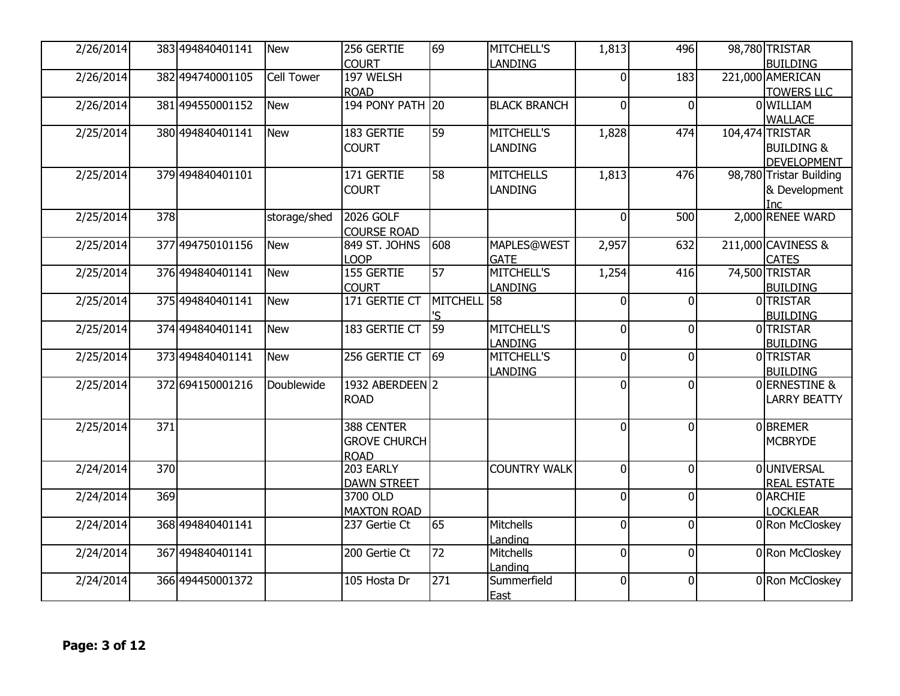| 2/26/2014 |     | 383 494840401141 | <b>New</b>        | 256 GERTIE               | 69          | <b>MITCHELL'S</b>   | 1,813          | 496            | 98,780 TRISTAR                        |
|-----------|-----|------------------|-------------------|--------------------------|-------------|---------------------|----------------|----------------|---------------------------------------|
|           |     |                  |                   | <b>COURT</b>             |             | <b>LANDING</b>      |                |                | <b>BUILDING</b>                       |
| 2/26/2014 |     | 382 494740001105 | <b>Cell Tower</b> | 197 WELSH<br><b>ROAD</b> |             |                     | 0              | 183            | 221,000 AMERICAN<br><b>TOWERS LLC</b> |
| 2/26/2014 |     | 381 494550001152 | <b>New</b>        | <b>194 PONY PATH 20</b>  |             | <b>BLACK BRANCH</b> | $\overline{0}$ | $\Omega$       | 0 WILLIAM                             |
|           |     |                  |                   |                          |             |                     |                |                | <b>WALLACE</b>                        |
| 2/25/2014 |     | 380 494840401141 | <b>New</b>        | 183 GERTIE               | 59          | MITCHELL'S          | 1,828          | 474            | 104,474 TRISTAR                       |
|           |     |                  |                   | <b>COURT</b>             |             | <b>LANDING</b>      |                |                | <b>BUILDING &amp;</b>                 |
|           |     |                  |                   |                          |             |                     |                |                | <b>DEVELOPMENT</b>                    |
| 2/25/2014 |     | 379 494840401101 |                   | 171 GERTIE               | 58          | <b>MITCHELLS</b>    | 1,813          | 476            | 98,780 Tristar Building               |
|           |     |                  |                   | <b>COURT</b>             |             | <b>LANDING</b>      |                |                | & Development                         |
|           |     |                  |                   |                          |             |                     |                |                | <b>Inc</b>                            |
| 2/25/2014 | 378 |                  | storage/shed      | 2026 GOLF                |             |                     | $\overline{0}$ | 500            | 2,000 RENEE WARD                      |
|           |     |                  |                   | <b>COURSE ROAD</b>       |             |                     |                |                |                                       |
| 2/25/2014 |     | 377 494750101156 | <b>New</b>        | 849 ST. JOHNS            | 608         | <b>MAPLES@WEST</b>  | 2,957          | 632            | 211,000 CAVINESS &                    |
|           |     |                  |                   | <b>LOOP</b>              |             | <b>GATE</b>         |                |                | <b>CATES</b>                          |
| 2/25/2014 |     | 376 494840401141 | <b>New</b>        | 155 GERTIE               | 57          | <b>MITCHELL'S</b>   | 1,254          | 416            | 74,500 TRISTAR                        |
|           |     |                  |                   | <b>COURT</b>             |             | <b>LANDING</b>      |                |                | <b>BUILDING</b>                       |
| 2/25/2014 |     | 375 494840401141 | <b>New</b>        | 171 GERTIE CT            | MITCHELL 58 |                     | $\Omega$       | <sup>0</sup>   | 0TRISTAR                              |
|           |     |                  |                   |                          | 'S          |                     |                |                | <b>BUILDING</b>                       |
| 2/25/2014 |     | 374 494840401141 | <b>New</b>        | 183 GERTIE CT            | 59          | MITCHELL'S          | $\mathbf 0$    | 0              | 0TRISTAR                              |
|           |     |                  |                   |                          |             | <b>LANDING</b>      |                |                | <b>BUILDING</b>                       |
| 2/25/2014 |     | 373 494840401141 | <b>New</b>        | 256 GERTIE CT            | 69          | <b>MITCHELL'S</b>   | $\overline{0}$ | <sup>0</sup>   | 0TRISTAR                              |
|           |     |                  |                   |                          |             | <b>LANDING</b>      |                |                | <b>BUILDING</b>                       |
| 2/25/2014 |     | 372 694150001216 | Doublewide        | 1932 ABERDEEN 2          |             |                     | $\overline{0}$ | $\overline{0}$ | 0 ERNESTINE &                         |
|           |     |                  |                   | <b>ROAD</b>              |             |                     |                |                | <b>LARRY BEATTY</b>                   |
|           |     |                  |                   |                          |             |                     |                |                |                                       |
| 2/25/2014 | 371 |                  |                   | 388 CENTER               |             |                     | $\overline{0}$ | $\Omega$       | <b>OBREMER</b>                        |
|           |     |                  |                   | <b>GROVE CHURCH</b>      |             |                     |                |                | <b>MCBRYDE</b>                        |
|           |     |                  |                   | <b>ROAD</b>              |             |                     |                |                |                                       |
| 2/24/2014 | 370 |                  |                   | 203 EARLY                |             | <b>COUNTRY WALK</b> | $\overline{0}$ | $\Omega$       | <b>OUNIVERSAL</b>                     |
|           |     |                  |                   | <b>DAWN STREET</b>       |             |                     |                |                | <b>REAL ESTATE</b>                    |
| 2/24/2014 | 369 |                  |                   | 3700 OLD                 |             |                     | $\overline{0}$ | $\Omega$       | <b>OLARCHIE</b>                       |
|           |     |                  |                   | <b>MAXTON ROAD</b>       |             |                     |                |                | <b>LOCKLEAR</b>                       |
| 2/24/2014 |     | 368 494840401141 |                   | 237 Gertie Ct            | 65          | Mitchells           | $\overline{0}$ | 0              | 0 Ron McCloskey                       |
|           |     |                  |                   |                          |             | Landing             |                |                |                                       |
| 2/24/2014 |     | 367 494840401141 |                   | 200 Gertie Ct            | 72          | Mitchells           | $\overline{0}$ | <sup>0</sup>   | 0 Ron McCloskey                       |
|           |     |                  |                   |                          |             | Landing             |                |                |                                       |
| 2/24/2014 |     | 366 494450001372 |                   | 105 Hosta Dr             | 271         | Summerfield         | 0              | $\Omega$       | 0 Ron McCloskey                       |
|           |     |                  |                   |                          |             | <b>East</b>         |                |                |                                       |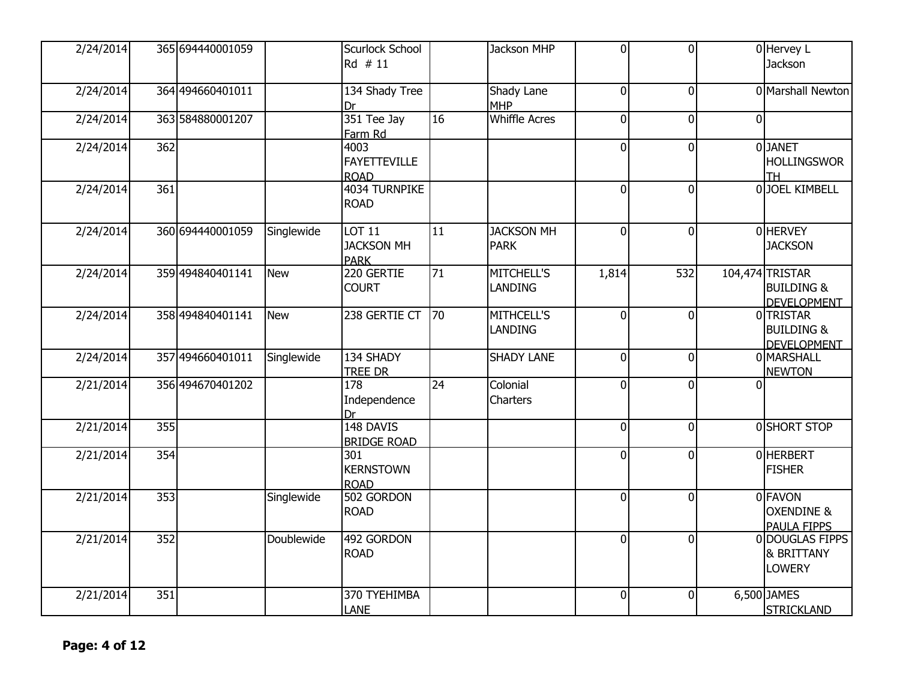| 2/24/2014 |                  | 365 694440001059 |            | Scurlock School<br>Rd # 11                        |                 | Jackson MHP                         | $\overline{0}$ | $\overline{0}$ |          | 0 Hervey L<br>Jackson                                          |
|-----------|------------------|------------------|------------|---------------------------------------------------|-----------------|-------------------------------------|----------------|----------------|----------|----------------------------------------------------------------|
| 2/24/2014 |                  | 364 494660401011 |            | 134 Shady Tree<br>Dr                              |                 | Shady Lane<br><b>MHP</b>            | $\Omega$       | $\overline{0}$ |          | 0 Marshall Newton                                              |
| 2/24/2014 |                  | 363 584880001207 |            | 351 Tee Jay<br>Farm Rd                            | 16              | <b>Whiffle Acres</b>                | 0              | 0              | $\Omega$ |                                                                |
| 2/24/2014 | 362              |                  |            | 4003<br><b>FAYETTEVILLE</b><br><b>ROAD</b>        |                 |                                     | $\overline{0}$ | $\overline{0}$ |          | 0 JANET<br><b>HOLLINGSWOR</b><br><b>TH</b>                     |
| 2/24/2014 | 361              |                  |            | 4034 TURNPIKE<br><b>ROAD</b>                      |                 |                                     | $\overline{0}$ | $\mathbf 0$    |          | 0JOEL KIMBELL                                                  |
| 2/24/2014 |                  | 360 694440001059 | Singlewide | <b>LOT 11</b><br><b>JACKSON MH</b><br><b>PARK</b> | $\overline{11}$ | <b>JACKSON MH</b><br><b>PARK</b>    | $\Omega$       | $\overline{0}$ |          | 0 HERVEY<br><b>JACKSON</b>                                     |
| 2/24/2014 |                  | 359 494840401141 | <b>New</b> | 220 GERTIE<br><b>COURT</b>                        | 71              | MITCHELL'S<br><b>LANDING</b>        | 1,814          | 532            |          | 104,474 TRISTAR<br><b>BUILDING &amp;</b><br><b>DEVELOPMENT</b> |
| 2/24/2014 |                  | 358 494840401141 | <b>New</b> | 238 GERTIE CT 70                                  |                 | <b>MITHCELL'S</b><br><b>LANDING</b> | $\Omega$       | $\overline{0}$ |          | <b>OITRISTAR</b><br><b>BUILDING &amp;</b><br>DEVELOPMENT       |
| 2/24/2014 |                  | 357 494660401011 | Singlewide | 134 SHADY<br>TREE DR                              |                 | <b>SHADY LANE</b>                   | $\Omega$       | $\overline{0}$ |          | 0 MARSHALL<br><b>NEWTON</b>                                    |
| 2/21/2014 |                  | 356 494670401202 |            | $\overline{178}$<br>Independence<br>Dr            | $\overline{24}$ | Colonial<br>Charters                | $\Omega$       | $\mathbf{0}$   |          |                                                                |
| 2/21/2014 | $\overline{355}$ |                  |            | 148 DAVIS<br><b>BRIDGE ROAD</b>                   |                 |                                     | $\overline{0}$ | $\overline{0}$ |          | <b>OSHORT STOP</b>                                             |
| 2/21/2014 | 354              |                  |            | 301<br><b>KERNSTOWN</b><br><b>ROAD</b>            |                 |                                     | $\Omega$       | $\overline{0}$ |          | <b>OHERBERT</b><br><b>FISHER</b>                               |
| 2/21/2014 | 353              |                  | Singlewide | 502 GORDON<br><b>ROAD</b>                         |                 |                                     | $\overline{0}$ | $\overline{0}$ |          | 0 FAVON<br><b>OXENDINE &amp;</b><br>PAULA FIPPS                |
| 2/21/2014 | 352              |                  | Doublewide | 492 GORDON<br><b>ROAD</b>                         |                 |                                     | $\Omega$       | $\mathbf 0$    |          | 0 DOUGLAS FIPPS<br><b>&amp; BRITTANY</b><br><b>LOWERY</b>      |
| 2/21/2014 | 351              |                  |            | 370 TYEHIMBA<br><b>LANE</b>                       |                 |                                     | $\overline{0}$ | $\overline{0}$ |          | 6,500 JAMES<br><b>STRICKLAND</b>                               |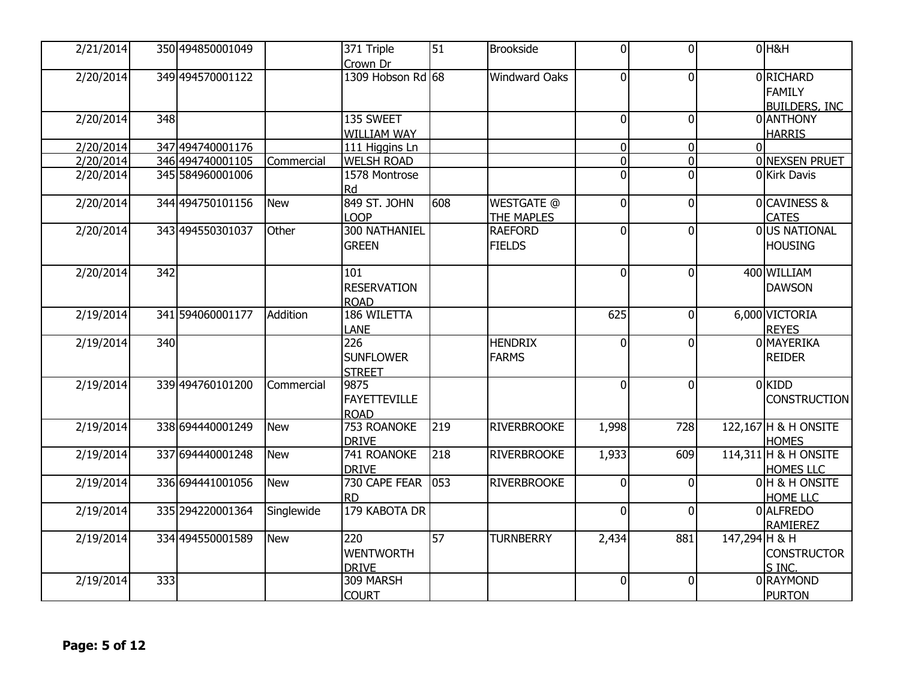| 2/21/2014 |     | 350 494850001049 |            | 371 Triple           | $\overline{51}$ | <b>Brookside</b>     | $\overline{0}$ | $\overline{0}$ |               | $0$ H&H              |
|-----------|-----|------------------|------------|----------------------|-----------------|----------------------|----------------|----------------|---------------|----------------------|
|           |     |                  |            | Crown Dr             |                 |                      |                |                |               |                      |
| 2/20/2014 |     | 349 494570001122 |            | 1309 Hobson Rd 68    |                 | <b>Windward Oaks</b> | $\Omega$       | $\overline{0}$ |               | 0RICHARD             |
|           |     |                  |            |                      |                 |                      |                |                |               | <b>FAMILY</b>        |
|           |     |                  |            |                      |                 |                      |                |                |               | <b>BUILDERS, INC</b> |
| 2/20/2014 | 348 |                  |            | 135 SWEET            |                 |                      | $\Omega$       | $\mathbf 0$    |               | 0 ANTHONY            |
|           |     |                  |            | WILLIAM WAY          |                 |                      |                |                |               | <b>HARRIS</b>        |
| 2/20/2014 |     | 347 494740001176 |            | 111 Higgins Ln       |                 |                      | 0              | $\overline{0}$ | $\Omega$      |                      |
| 2/20/2014 |     | 346 494740001105 | Commercial | <b>WELSH ROAD</b>    |                 |                      | 0              | 0              |               | 0 NEXSEN PRUET       |
| 2/20/2014 |     | 345 584960001006 |            | 1578 Montrose        |                 |                      | $\Omega$       | 0              |               | 0Kirk Davis          |
|           |     |                  |            | Rd                   |                 |                      |                |                |               |                      |
| 2/20/2014 |     | 344 494750101156 | <b>New</b> | 849 ST. JOHN         | 608             | <b>WESTGATE @</b>    | 0              | $\overline{0}$ |               | 0 CAVINESS &         |
|           |     |                  |            | <b>LOOP</b>          |                 | <b>THE MAPLES</b>    |                |                |               | <b>CATES</b>         |
| 2/20/2014 |     | 343 494550301037 | Other      | <b>300 NATHANIEL</b> |                 | <b>RAEFORD</b>       | $\Omega$       |                |               | <b>OUS NATIONAL</b>  |
|           |     |                  |            |                      |                 |                      |                | 0              |               |                      |
|           |     |                  |            | <b>GREEN</b>         |                 | <b>FIELDS</b>        |                |                |               | <b>HOUSING</b>       |
|           |     |                  |            |                      |                 |                      |                |                |               |                      |
| 2/20/2014 | 342 |                  |            | 101                  |                 |                      | $\overline{0}$ | $\overline{0}$ |               | 400 WILLIAM          |
|           |     |                  |            | <b>RESERVATION</b>   |                 |                      |                |                |               | <b>DAWSON</b>        |
|           |     |                  |            | <b>ROAD</b>          |                 |                      |                |                |               |                      |
| 2/19/2014 |     | 341 594060001177 | Addition   | 186 WILETTA          |                 |                      | 625            | $\overline{0}$ |               | 6,000 VICTORIA       |
|           |     |                  |            | <b>LANE</b>          |                 |                      |                |                |               | <b>REYES</b>         |
| 2/19/2014 | 340 |                  |            | 226                  |                 | <b>HENDRIX</b>       | $\Omega$       | $\Omega$       |               | 0 MAYERIKA           |
|           |     |                  |            | <b>SUNFLOWER</b>     |                 | <b>FARMS</b>         |                |                |               | <b>REIDER</b>        |
|           |     |                  |            | <b>STREET</b>        |                 |                      |                |                |               |                      |
| 2/19/2014 |     | 339 494760101200 | Commercial | 9875                 |                 |                      | $\overline{0}$ | $\overline{0}$ |               | 0KIDD                |
|           |     |                  |            | <b>FAYETTEVILLE</b>  |                 |                      |                |                |               | <b>CONSTRUCTION</b>  |
|           |     |                  |            | <b>ROAD</b>          |                 |                      |                |                |               |                      |
| 2/19/2014 |     | 338 694440001249 | <b>New</b> | <b>753 ROANOKE</b>   | 219             | <b>RIVERBROOKE</b>   | 1,998          | 728            |               | 122,167 H & H ONSITE |
|           |     |                  |            | <b>DRIVE</b>         |                 |                      |                |                |               | <b>HOMES</b>         |
| 2/19/2014 |     | 337 694440001248 | <b>New</b> | 741 ROANOKE          | 218             | <b>RIVERBROOKE</b>   | 1,933          | 609            |               | 114,311 H & H ONSITE |
|           |     |                  |            | <b>DRIVE</b>         |                 |                      |                |                |               | <b>HOMES LLC</b>     |
| 2/19/2014 |     | 336 694441001056 | <b>New</b> | 730 CAPE FEAR        | 053             | <b>RIVERBROOKE</b>   | $\Omega$       | $\Omega$       |               | 0 H & H ONSITE       |
|           |     |                  |            | <b>RD</b>            |                 |                      |                |                |               | HOME LLC             |
| 2/19/2014 |     | 335 294220001364 | Singlewide | 179 KABOTA DR        |                 |                      | $\Omega$       | $\Omega$       |               | 0 ALFREDO            |
|           |     |                  |            |                      |                 |                      |                |                |               |                      |
| 2/19/2014 |     | 334 494550001589 | <b>New</b> | 220                  | 57              | <b>TURNBERRY</b>     | 2,434          | 881            | 147,294 H & H | <b>RAMIEREZ</b>      |
|           |     |                  |            | <b>WENTWORTH</b>     |                 |                      |                |                |               |                      |
|           |     |                  |            |                      |                 |                      |                |                |               | <b>CONSTRUCTOR</b>   |
|           |     |                  |            | <b>DRIVE</b>         |                 |                      |                |                |               | S INC.               |
| 2/19/2014 | 333 |                  |            | 309 MARSH            |                 |                      | $\overline{0}$ | $\overline{0}$ |               | 0 RAYMOND            |
|           |     |                  |            | <b>COURT</b>         |                 |                      |                |                |               | <b>PURTON</b>        |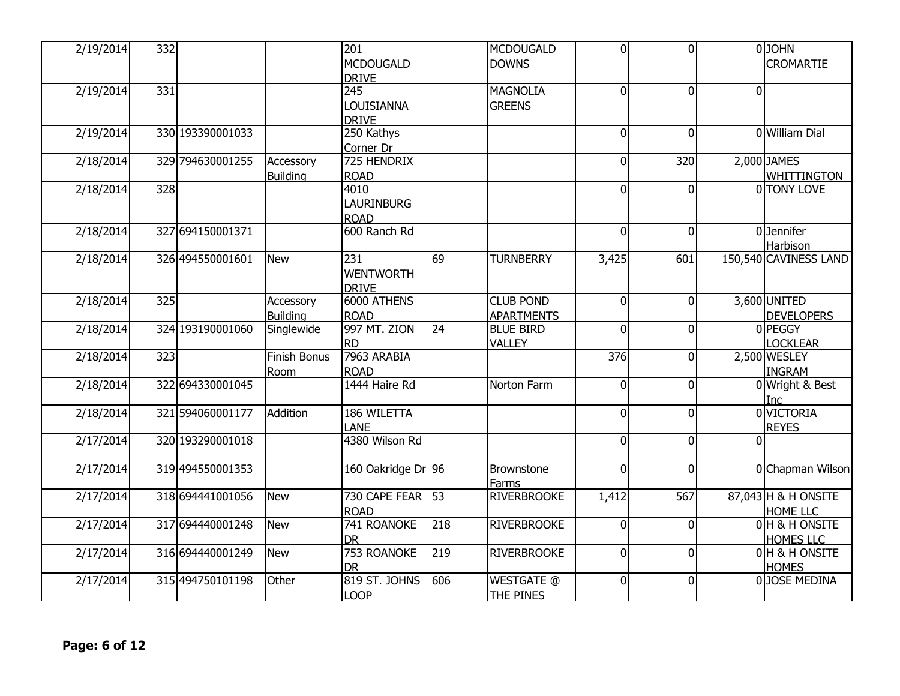| 2/19/2014 | 332 |                  |                              | 201<br><b>MCDOUGALD</b>                           |     | <b>MCDOUGALD</b><br><b>DOWNS</b>      | $\mathbf{0}$   | $\overline{0}$ |                | <b>O</b> JOHN<br><b>CROMARTIE</b>      |
|-----------|-----|------------------|------------------------------|---------------------------------------------------|-----|---------------------------------------|----------------|----------------|----------------|----------------------------------------|
| 2/19/2014 | 331 |                  |                              | <b>DRIVE</b><br>245<br>LOUISIANNA<br><b>DRIVE</b> |     | <b>MAGNOLIA</b><br><b>GREENS</b>      | $\overline{0}$ | $\Omega$       | $\overline{0}$ |                                        |
| 2/19/2014 |     | 330 193390001033 |                              | 250 Kathys<br>Corner Dr                           |     |                                       | $\overline{0}$ | $\overline{0}$ |                | <b>O</b> William Dial                  |
| 2/18/2014 |     | 329 794630001255 | Accessory<br><b>Building</b> | 725 HENDRIX<br><b>ROAD</b>                        |     |                                       | $\mathbf 0$    | 320            |                | 2,000 JAMES<br>WHITTINGTON             |
| 2/18/2014 | 328 |                  |                              | 4010<br><b>LAURINBURG</b><br><b>ROAD</b>          |     |                                       | 0              | $\Omega$       |                | 0 TONY LOVE                            |
| 2/18/2014 |     | 327 694150001371 |                              | 600 Ranch Rd                                      |     |                                       | $\overline{0}$ | $\Omega$       |                | 0Jennifer<br>Harbison                  |
| 2/18/2014 |     | 326 494550001601 | <b>New</b>                   | 231<br><b>WENTWORTH</b><br><b>DRIVE</b>           | 69  | <b>TURNBERRY</b>                      | 3,425          | 601            |                | 150,540 CAVINESS LAND                  |
| 2/18/2014 | 325 |                  | Accessory<br><b>Building</b> | 6000 ATHENS<br>ROAD                               |     | <b>CLUB POND</b><br><b>APARTMENTS</b> | $\Omega$       | $\Omega$       |                | 3,600 UNITED<br><b>DEVELOPERS</b>      |
| 2/18/2014 |     | 324 193190001060 | Singlewide                   | 997 MT. ZION<br>Ird                               | 24  | <b>BLUE BIRD</b><br><b>VALLEY</b>     | $\mathbf 0$    | $\overline{0}$ |                | 0PEGGY<br><b>LOCKLEAR</b>              |
| 2/18/2014 | 323 |                  | Finish Bonus<br>Room         | 7963 ARABIA<br><b>ROAD</b>                        |     |                                       | 376            | $\Omega$       |                | 2,500 WESLEY<br><b>INGRAM</b>          |
| 2/18/2014 |     | 322 694330001045 |                              | 1444 Haire Rd                                     |     | Norton Farm                           | $\mathbf 0$    | $\overline{0}$ |                | 0 Wright & Best<br>Inc                 |
| 2/18/2014 |     | 321 594060001177 | Addition                     | 186 WILETTA<br>LANE                               |     |                                       | $\overline{0}$ | $\Omega$       |                | 0 VICTORIA<br><b>REYES</b>             |
| 2/17/2014 |     | 320 193290001018 |                              | 4380 Wilson Rd                                    |     |                                       | $\Omega$       | $\Omega$       | Ωl             |                                        |
| 2/17/2014 |     | 319 494550001353 |                              | 160 Oakridge Dr 96                                |     | Brownstone<br>Farms                   | $\overline{0}$ | $\Omega$       |                | 0 Chapman Wilson                       |
| 2/17/2014 |     | 318 694441001056 | <b>New</b>                   | 730 CAPE FEAR<br>ROAD                             | 53  | <b>RIVERBROOKE</b>                    | 1,412          | 567            |                | 87,043 H & H ONSITE<br><b>HOME LLC</b> |
| 2/17/2014 |     | 317 694440001248 | <b>New</b>                   | 741 ROANOKE<br>Idr                                | 218 | <b>RIVERBROOKE</b>                    | $\overline{0}$ | $\overline{0}$ |                | 0H & H ONSITE<br><b>HOMES LLC</b>      |
| 2/17/2014 |     | 316 694440001249 | <b>New</b>                   | 753 ROANOKE<br><b>DR</b>                          | 219 | <b>RIVERBROOKE</b>                    | $\overline{0}$ | $\Omega$       |                | 0H & H ONSITE<br><b>HOMES</b>          |
| 2/17/2014 |     | 315 494750101198 | Other                        | 819 ST. JOHNS<br><b>LOOP</b>                      | 606 | <b>WESTGATE @</b><br><b>THE PINES</b> | $\mathbf 0$    | $\Omega$       |                | 0JOSE MEDINA                           |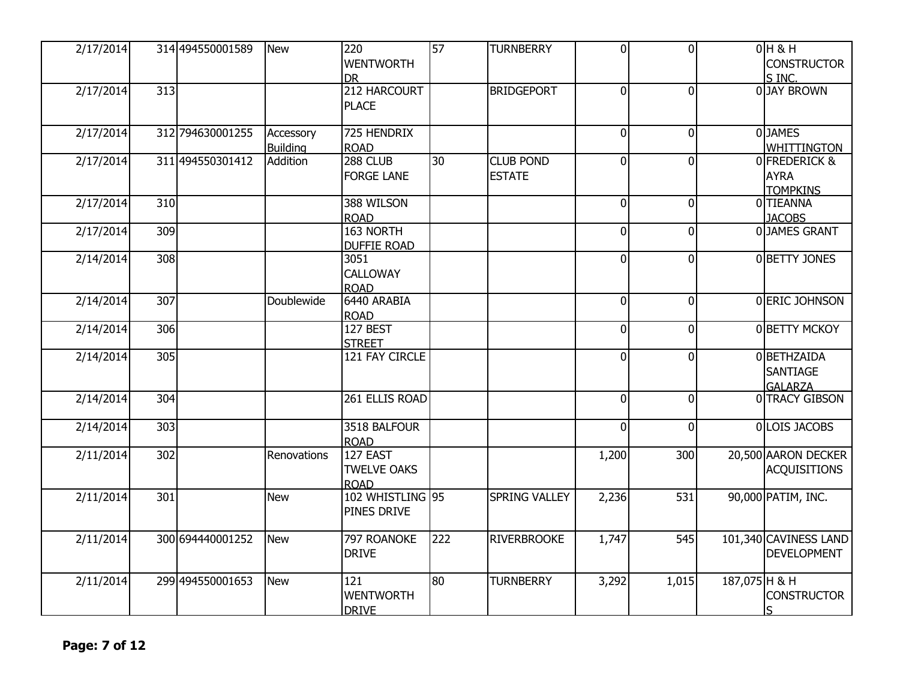| 2/17/2014 |     | 314 494550001589 | <b>New</b>                   | 220<br><b>WENTWORTH</b><br><b>DR</b>          | 57  | <b>TURNBERRY</b>                  | $\Omega$       | $\overline{0}$ |               | $0H$ & H<br><b>CONSTRUCTOR</b><br>S INC.                  |
|-----------|-----|------------------|------------------------------|-----------------------------------------------|-----|-----------------------------------|----------------|----------------|---------------|-----------------------------------------------------------|
| 2/17/2014 | 313 |                  |                              | 212 HARCOURT<br>PLACE                         |     | <b>BRIDGEPORT</b>                 | $\overline{0}$ | $\overline{0}$ |               | 0 JAY BROWN                                               |
| 2/17/2014 |     | 312 794630001255 | Accessory<br><b>Building</b> | 725 HENDRIX<br><b>ROAD</b>                    |     |                                   | $\Omega$       | $\overline{0}$ |               | 0JAMES<br>WHITTINGTON                                     |
| 2/17/2014 |     | 311 494550301412 | Addition                     | 288 CLUB<br><b>FORGE LANE</b>                 | 30  | <b>CLUB POND</b><br><b>ESTATE</b> | $\Omega$       | 0              |               | <b>OFREDERICK &amp;</b><br><b>AYRA</b><br><b>TOMPKINS</b> |
| 2/17/2014 | 310 |                  |                              | 388 WILSON<br><b>ROAD</b>                     |     |                                   | $\Omega$       | $\overline{0}$ |               | 0TIEANNA<br><b>JACOBS</b>                                 |
| 2/17/2014 | 309 |                  |                              | 163 NORTH<br><b>DUFFIE ROAD</b>               |     |                                   | $\Omega$       | $\overline{0}$ |               | 0JAMES GRANT                                              |
| 2/14/2014 | 308 |                  |                              | 3051<br><b>CALLOWAY</b><br><b>ROAD</b>        |     |                                   | $\Omega$       | $\overline{0}$ |               | 0 BETTY JONES                                             |
| 2/14/2014 | 307 |                  | Doublewide                   | 6440 ARABIA<br><b>ROAD</b>                    |     |                                   | $\Omega$       | $\overline{0}$ |               | 0 ERIC JOHNSON                                            |
| 2/14/2014 | 306 |                  |                              | 127 BEST<br><b>STREET</b>                     |     |                                   | $\Omega$       | $\overline{0}$ |               | 0 BETTY MCKOY                                             |
| 2/14/2014 | 305 |                  |                              | 121 FAY CIRCLE                                |     |                                   | $\Omega$       | $\overline{0}$ |               | 0BETHZAIDA<br>SANTIAGE<br><b>GALARZA</b>                  |
| 2/14/2014 | 304 |                  |                              | 261 ELLIS ROAD                                |     |                                   | $\Omega$       | $\overline{0}$ |               | 0 TRACY GIBSON                                            |
| 2/14/2014 | 303 |                  |                              | 3518 BALFOUR<br><b>ROAD</b>                   |     |                                   | $\Omega$       | $\overline{0}$ |               | 0 LOIS JACOBS                                             |
| 2/11/2014 | 302 |                  | Renovations                  | 127 EAST<br><b>TWELVE OAKS</b><br><b>ROAD</b> |     |                                   | 1,200          | 300            |               | 20,500 AARON DECKER<br><b>ACQUISITIONS</b>                |
| 2/11/2014 | 301 |                  | <b>New</b>                   | 102 WHISTLING 95<br>PINES DRIVE               |     | <b>SPRING VALLEY</b>              | 2,236          | 531            |               | 90,000 PATIM, INC.                                        |
| 2/11/2014 |     | 300 694440001252 | <b>New</b>                   | 797 ROANOKE<br><b>DRIVE</b>                   | 222 | <b>RIVERBROOKE</b>                | 1,747          | 545            |               | 101,340 CAVINESS LAND<br><b>DEVELOPMENT</b>               |
| 2/11/2014 |     | 299 494550001653 | <b>New</b>                   | 121<br><b>WENTWORTH</b><br><b>DRIVE</b>       | 80  | <b>TURNBERRY</b>                  | 3,292          | 1,015          | 187,075 H & H | <b>CONSTRUCTOR</b>                                        |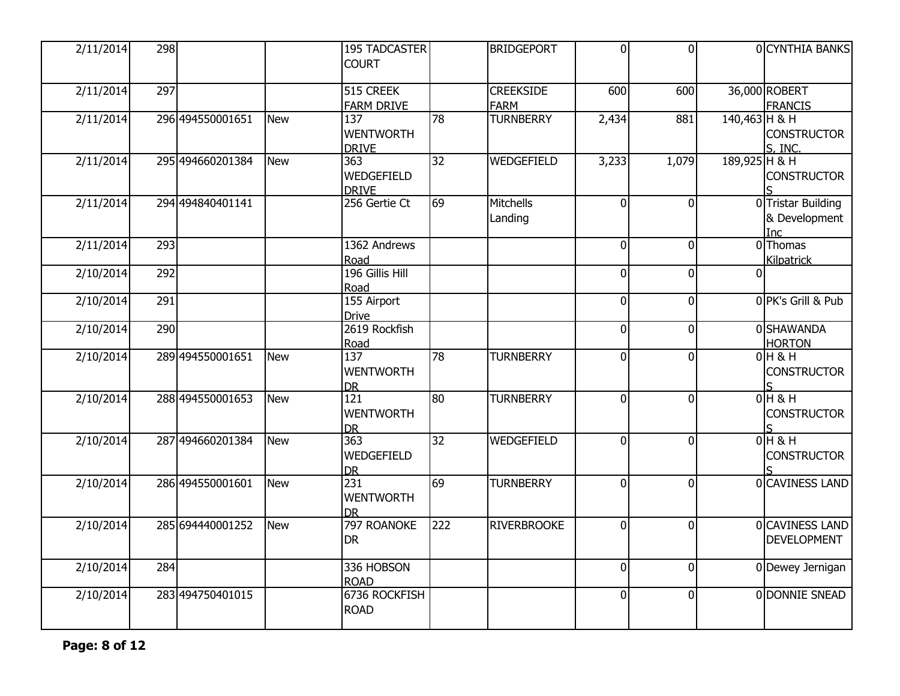| 2/11/2014              | 298 |                  |            | <b>195 TADCASTER</b><br><b>COURT</b>              |     | <b>BRIDGEPORT</b>               | $\overline{0}$ | $\overline{0}$ | 0CYNTHIA BANKS                                    |
|------------------------|-----|------------------|------------|---------------------------------------------------|-----|---------------------------------|----------------|----------------|---------------------------------------------------|
| 2/11/2014              | 297 |                  |            | 515 CREEK<br><b>FARM DRIVE</b>                    |     | <b>CREEKSIDE</b><br><b>FARM</b> | 600            | 600            | 36,000 ROBERT<br><b>FRANCIS</b>                   |
| 2/11/2014              |     | 296 494550001651 | <b>New</b> | 137<br><b>WENTWORTH</b><br><b>DRIVE</b>           | 78  | <b>TURNBERRY</b>                | 2,434          | 881            | 140,463 H & H<br><b>CONSTRUCTOR</b><br>S. INC.    |
| 2/11/2014              |     | 295 494660201384 | <b>New</b> | 363<br>WEDGEFIELD<br><b>DRIVE</b>                 | 32  | WEDGEFIELD                      | 3,233          | 1,079          | 189,925 H & H<br><b>CONSTRUCTOR</b>               |
| 2/11/2014              |     | 294 494840401141 |            | 256 Gertie Ct                                     | 69  | Mitchells<br>Landing            | $\Omega$       | $\mathbf{0}$   | 0 Tristar Building<br>& Development<br><b>Inc</b> |
| 2/11/2014              | 293 |                  |            | 1362 Andrews<br>Road                              |     |                                 | $\overline{0}$ | $\overline{0}$ | 0 Thomas<br>Kilpatrick                            |
| 2/10/2014              | 292 |                  |            | 196 Gillis Hill<br>Road                           |     |                                 | $\Omega$       | $\overline{0}$ | $\Omega$                                          |
| 2/10/2014              | 291 |                  |            | 155 Airport<br><b>Drive</b>                       |     |                                 | $\Omega$       | 0              | 0 PK's Grill & Pub                                |
| 2/10/2014              | 290 |                  |            | 2619 Rockfish<br>Road                             |     |                                 | $\Omega$       | $\overline{0}$ | 0 SHAWANDA<br><b>HORTON</b>                       |
| 2/10/2014              |     | 289 494550001651 | <b>New</b> | $\overline{137}$<br><b>WENTWORTH</b><br><b>DR</b> | 78  | <b>TURNBERRY</b>                | $\Omega$       | $\Omega$       | $0H$ & H<br><b>CONSTRUCTOR</b>                    |
| 2/10/2014              |     | 288 494550001653 | <b>New</b> | $\overline{121}$<br><b>WENTWORTH</b><br><b>DR</b> | 80  | <b>TURNBERRY</b>                | $\overline{0}$ | $\overline{0}$ | $0H$ & H<br><b>CONSTRUCTOR</b>                    |
| $\overline{2/10/2014}$ |     | 287 494660201384 | <b>New</b> | 363<br>WEDGEFIELD<br><b>DR</b>                    | 32  | WEDGEFIELD                      | $\Omega$       | $\overline{0}$ | $0H$ & H<br><b>CONSTRUCTOR</b>                    |
| 2/10/2014              |     | 286 494550001601 | <b>New</b> | 231<br><b>WENTWORTH</b><br><b>DR</b>              | 69  | <b>TURNBERRY</b>                | $\Omega$       | $\overline{0}$ | 0 CAVINESS LAND                                   |
| 2/10/2014              |     | 285 694440001252 | <b>New</b> | 797 ROANOKE<br><b>DR</b>                          | 222 | <b>RIVERBROOKE</b>              | $\overline{0}$ | $\overline{0}$ | 0 CAVINESS LAND<br><b>DEVELOPMENT</b>             |
| 2/10/2014              | 284 |                  |            | 336 HOBSON<br><b>ROAD</b>                         |     |                                 | $\overline{0}$ | $\overline{0}$ | 0 Dewey Jernigan                                  |
| 2/10/2014              |     | 283 494750401015 |            | 6736 ROCKFISH<br><b>ROAD</b>                      |     |                                 | $\Omega$       | $\overline{0}$ | 0 DONNIE SNEAD                                    |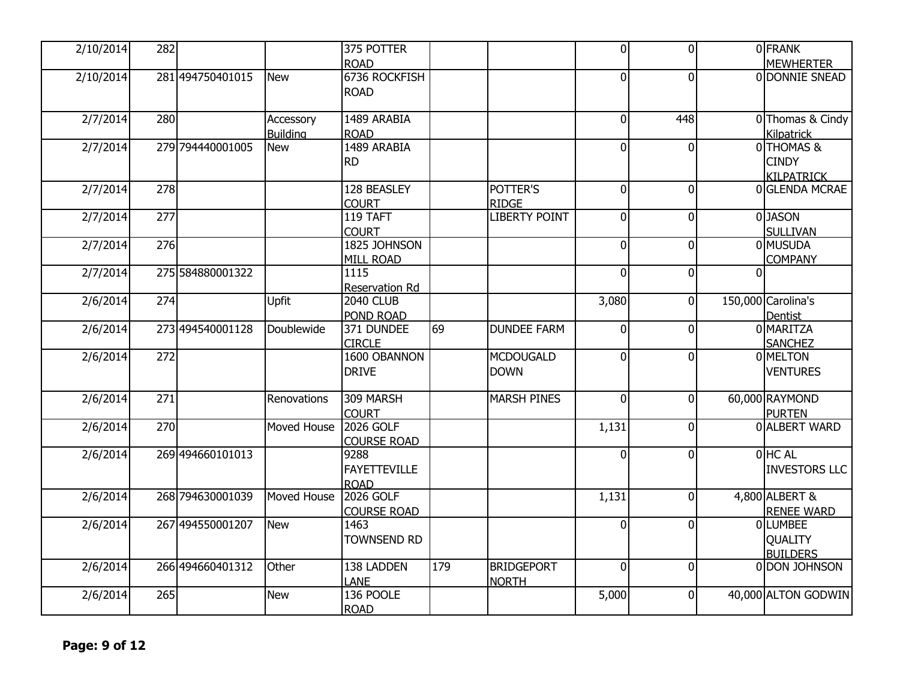| 2/10/2014 |                                                           |                                                                                                                                                                                                                                    | 375 POTTER                 |                                                                                                                        |                      | $\overline{0}$ |                |                | <b>OFRANK</b>        |
|-----------|-----------------------------------------------------------|------------------------------------------------------------------------------------------------------------------------------------------------------------------------------------------------------------------------------------|----------------------------|------------------------------------------------------------------------------------------------------------------------|----------------------|----------------|----------------|----------------|----------------------|
|           |                                                           |                                                                                                                                                                                                                                    | <b>ROAD</b>                |                                                                                                                        |                      |                |                |                | <b>MEWHERTER</b>     |
|           |                                                           |                                                                                                                                                                                                                                    |                            |                                                                                                                        |                      | $\Omega$       | $\overline{0}$ |                | 0 DONNIE SNEAD       |
|           |                                                           |                                                                                                                                                                                                                                    |                            |                                                                                                                        |                      |                |                |                |                      |
|           |                                                           |                                                                                                                                                                                                                                    |                            |                                                                                                                        |                      |                |                |                |                      |
| 2/7/2014  |                                                           | Accessory                                                                                                                                                                                                                          | 1489 ARABIA                |                                                                                                                        |                      | $\Omega$       | 448            |                | 0 Thomas & Cindy     |
|           |                                                           | <b>Building</b>                                                                                                                                                                                                                    | <b>ROAD</b>                |                                                                                                                        |                      |                |                |                | Kilpatrick           |
| 2/7/2014  |                                                           | <b>New</b>                                                                                                                                                                                                                         |                            |                                                                                                                        |                      | $\Omega$       | $\overline{0}$ |                | 0 THOMAS &           |
|           |                                                           |                                                                                                                                                                                                                                    | <b>RD</b>                  |                                                                                                                        |                      |                |                |                | <b>CINDY</b>         |
|           |                                                           |                                                                                                                                                                                                                                    |                            |                                                                                                                        |                      |                |                |                | <b>KILPATRICK</b>    |
| 2/7/2014  |                                                           |                                                                                                                                                                                                                                    | 128 BEASLEY                |                                                                                                                        | POTTER'S             | 0              | $\overline{0}$ |                | 0 GLENDA MCRAE       |
|           |                                                           |                                                                                                                                                                                                                                    | <b>COURT</b>               |                                                                                                                        | <b>RIDGE</b>         |                |                |                |                      |
| 2/7/2014  |                                                           |                                                                                                                                                                                                                                    | 119 TAFT                   |                                                                                                                        | <b>LIBERTY POINT</b> | $\overline{0}$ | $\overline{0}$ |                | 0 JASON              |
|           |                                                           |                                                                                                                                                                                                                                    | <b>COURT</b>               |                                                                                                                        |                      |                |                |                | <b>SULLIVAN</b>      |
| 2/7/2014  |                                                           |                                                                                                                                                                                                                                    |                            |                                                                                                                        |                      | $\overline{0}$ | $\overline{0}$ |                | 0 <sup>MUSUDA</sup>  |
|           |                                                           |                                                                                                                                                                                                                                    | MILL ROAD                  |                                                                                                                        |                      |                |                |                | <b>COMPANY</b>       |
| 2/7/2014  |                                                           |                                                                                                                                                                                                                                    | 1115                       |                                                                                                                        |                      | $\Omega$       | $\overline{0}$ | O              |                      |
|           |                                                           |                                                                                                                                                                                                                                    | <b>Reservation Rd</b>      |                                                                                                                        |                      |                |                |                |                      |
| 2/6/2014  |                                                           |                                                                                                                                                                                                                                    | <b>2040 CLUB</b>           |                                                                                                                        |                      | 3,080          | $\overline{0}$ |                | 150,000 Carolina's   |
|           |                                                           |                                                                                                                                                                                                                                    | POND ROAD                  |                                                                                                                        |                      |                |                |                | Dentist              |
| 2/6/2014  |                                                           | Doublewide                                                                                                                                                                                                                         | 371 DUNDEE                 | 69                                                                                                                     | <b>DUNDEE FARM</b>   | $\overline{0}$ | $\overline{0}$ |                | 0 MARITZA            |
|           |                                                           |                                                                                                                                                                                                                                    | <b>CIRCLE</b>              |                                                                                                                        |                      |                |                |                | <b>SANCHEZ</b>       |
|           |                                                           |                                                                                                                                                                                                                                    |                            |                                                                                                                        |                      | $\Omega$       | ΩI             |                | 0 MELTON             |
|           |                                                           |                                                                                                                                                                                                                                    | <b>DRIVE</b>               |                                                                                                                        | <b>DOWN</b>          |                |                |                | <b>VENTURES</b>      |
|           |                                                           |                                                                                                                                                                                                                                    |                            |                                                                                                                        |                      |                |                |                |                      |
| 2/6/2014  |                                                           | Renovations                                                                                                                                                                                                                        |                            |                                                                                                                        | MARSH PINES          | $\overline{0}$ | $\overline{0}$ |                | 60,000 RAYMOND       |
|           |                                                           |                                                                                                                                                                                                                                    | <b>COURT</b>               |                                                                                                                        |                      |                |                |                | <b>PURTEN</b>        |
| 2/6/2014  |                                                           | Moved House                                                                                                                                                                                                                        |                            |                                                                                                                        |                      | 1,131          | 0              |                | 0 ALBERT WARD        |
|           |                                                           |                                                                                                                                                                                                                                    | <b>COURSE ROAD</b>         |                                                                                                                        |                      |                |                |                |                      |
|           |                                                           |                                                                                                                                                                                                                                    |                            |                                                                                                                        |                      | $\Omega$       | $\overline{0}$ |                | OHC AL               |
|           |                                                           |                                                                                                                                                                                                                                    | <b>FAYETTEVILLE</b>        |                                                                                                                        |                      |                |                |                | <b>INVESTORS LLC</b> |
|           |                                                           |                                                                                                                                                                                                                                    | <b>ROAD</b>                |                                                                                                                        |                      |                |                |                |                      |
|           |                                                           | Moved House                                                                                                                                                                                                                        |                            |                                                                                                                        |                      |                | $\overline{0}$ |                | 4,800 ALBERT &       |
|           |                                                           |                                                                                                                                                                                                                                    | <b>COURSE ROAD</b>         |                                                                                                                        |                      |                |                |                | <b>RENEE WARD</b>    |
|           |                                                           | <b>New</b>                                                                                                                                                                                                                         | 1463                       |                                                                                                                        |                      | $\Omega$       | $\overline{0}$ |                | <b>OLUMBEE</b>       |
|           |                                                           |                                                                                                                                                                                                                                    | <b>TOWNSEND RD</b>         |                                                                                                                        |                      |                |                |                | <b>OUALITY</b>       |
|           |                                                           |                                                                                                                                                                                                                                    |                            |                                                                                                                        |                      |                |                |                | <b>BUILDERS</b>      |
| 2/6/2014  |                                                           | Other                                                                                                                                                                                                                              | 138 LADDEN                 | 179                                                                                                                    | <b>BRIDGEPORT</b>    | $\overline{0}$ | $\overline{0}$ |                | 0 DON JOHNSON        |
|           |                                                           |                                                                                                                                                                                                                                    | LANE                       |                                                                                                                        | <b>NORTH</b>         |                |                |                |                      |
| 2/6/2014  |                                                           | <b>New</b>                                                                                                                                                                                                                         |                            |                                                                                                                        |                      | 5,000          | $\overline{0}$ |                | 40,000 ALTON GODWIN  |
|           |                                                           |                                                                                                                                                                                                                                    | <b>ROAD</b>                |                                                                                                                        |                      |                |                |                |                      |
|           | 2/10/2014<br>2/6/2014<br>2/6/2014<br>2/6/2014<br>2/6/2014 | 282<br>281 494750401015<br>280<br>279 794440001005<br>278<br>277<br>276<br>275 584880001322<br>274<br>273 494540001128<br>272<br>271<br>270<br>269 494660101013<br>268 794630001039<br>267 494550001207<br>266 494660401312<br>265 | <b>New</b><br><b>Upfit</b> | <b>ROAD</b><br>1489 ARABIA<br>1825 JOHNSON<br>1600 OBANNON<br>309 MARSH<br>2026 GOLF<br>9288<br>2026 GOLF<br>136 POOLE | 6736 ROCKFISH        | MCDOUGALD      | 1,131          | $\overline{0}$ |                      |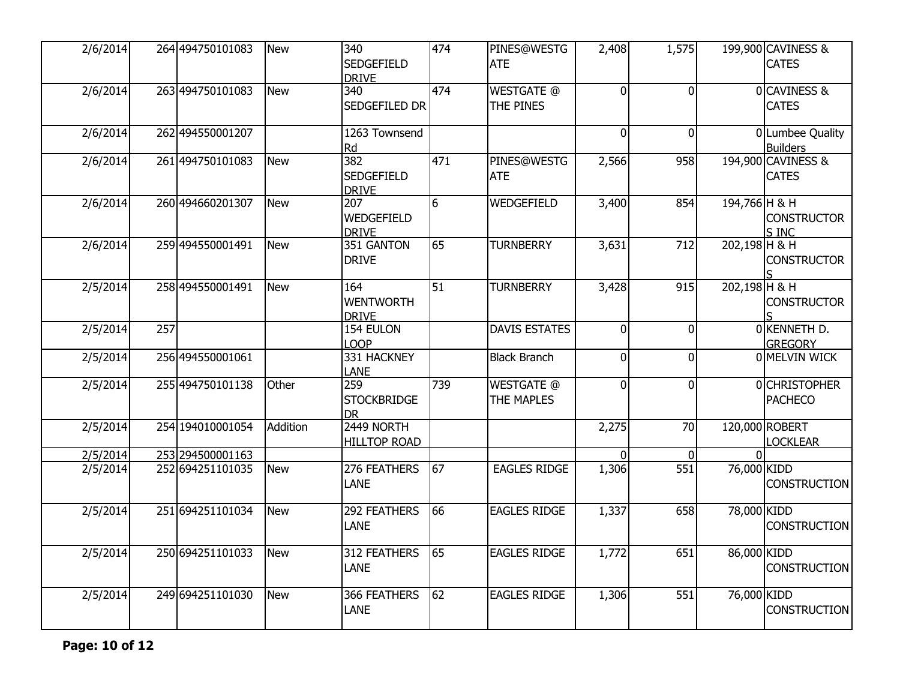| 2/6/2014 |     | 264 494750101083   | <b>New</b> | 340<br><b>SEDGEFIELD</b><br><b>DRIVE</b>              | 474             | PINES@WESTG<br><b>ATE</b>       | 2,408          | 1,575        |                 | 199,900 CAVINESS &<br><b>CATES</b>    |
|----------|-----|--------------------|------------|-------------------------------------------------------|-----------------|---------------------------------|----------------|--------------|-----------------|---------------------------------------|
| 2/6/2014 |     | 263 494750101083   | <b>New</b> | 340<br>SEDGEFILED DR                                  | 474             | <b>WESTGATE @</b><br>THE PINES  | $\overline{0}$ | 0            |                 | 0 CAVINESS &<br><b>CATES</b>          |
| 2/6/2014 |     | 262 494550001207   |            | 1263 Townsend<br>Rd                                   |                 |                                 | $\overline{0}$ | $\Omega$     |                 | 0Lumbee Quality<br><b>Builders</b>    |
| 2/6/2014 |     | 261 494750101083   | <b>New</b> | $\overline{382}$<br><b>SEDGEFIELD</b><br><b>DRIVE</b> | 471             | PINES@WESTG<br><b>ATE</b>       | 2,566          | 958          |                 | 194,900 CAVINESS &<br><b>CATES</b>    |
| 2/6/2014 |     | 260 494660201307   | <b>New</b> | $\overline{207}$<br>WEDGEFIELD<br><b>DRIVE</b>        | $6\overline{6}$ | WEDGEFIELD                      | 3,400          | 854          | 194,766 H & H   | <b>CONSTRUCTOR</b><br>S INC           |
| 2/6/2014 |     | 259 494550001491   | <b>New</b> | 351 GANTON<br><b>DRIVE</b>                            | 65              | <b>TURNBERRY</b>                | 3,631          | 712          | 202,198 H & H   | <b>CONSTRUCTOR</b>                    |
| 2/5/2014 |     | 258 494550001491   | <b>New</b> | 164<br><b>WENTWORTH</b><br><b>DRIVE</b>               | 51              | <b>TURNBERRY</b>                | 3,428          | 915          | $202,198$ H & H | <b>CONSTRUCTOR</b>                    |
| 2/5/2014 | 257 |                    |            | 154 EULON<br><b>LOOP</b>                              |                 | <b>DAVIS ESTATES</b>            | $\overline{0}$ | $\Omega$     |                 | OKENNETH D.<br><b>GREGORY</b>         |
| 2/5/2014 |     | 256 494550001061   |            | 331 HACKNEY<br><b>LANE</b>                            |                 | <b>Black Branch</b>             | $\overline{0}$ | 0            |                 | 0 MELVIN WICK                         |
| 2/5/2014 |     | 255 494750101138   | Other      | 259<br><b>STOCKBRIDGE</b><br><b>DR</b>                | 739             | <b>WESTGATE @</b><br>THE MAPLES | $\overline{0}$ | <sup>0</sup> |                 | <b>OCHRISTOPHER</b><br><b>PACHECO</b> |
| 2/5/2014 |     | 254 1940 1000 1054 | Addition   | 2449 NORTH<br><b>HILLTOP ROAD</b>                     |                 |                                 | 2,275          | 70           |                 | 120,000 ROBERT<br><b>LOCKLEAR</b>     |
| 2/5/2014 |     | 253 294500001163   |            |                                                       |                 |                                 | $\Omega$       | $\Omega$     | $\Omega$        |                                       |
| 2/5/2014 |     | 252 694251101035   | <b>New</b> | 276 FEATHERS<br><b>LANE</b>                           | 67              | <b>EAGLES RIDGE</b>             | 1,306          | 551          | 76,000 KIDD     | <b>CONSTRUCTION</b>                   |
| 2/5/2014 |     | 251 694251101034   | <b>New</b> | 292 FEATHERS<br><b>LANE</b>                           | 66              | <b>EAGLES RIDGE</b>             | 1,337          | 658          | 78,000 KIDD     | <b>CONSTRUCTION</b>                   |
| 2/5/2014 |     | 250 694251101033   | <b>New</b> | 312 FEATHERS<br><b>LANE</b>                           | 65              | <b>EAGLES RIDGE</b>             | 1,772          | 651          | 86,000 KIDD     | <b>CONSTRUCTION</b>                   |
| 2/5/2014 |     | 249 694251101030   | <b>New</b> | 366 FEATHERS<br><b>LANE</b>                           | 62              | <b>EAGLES RIDGE</b>             | 1,306          | 551          | 76,000 KIDD     | <b>CONSTRUCTION</b>                   |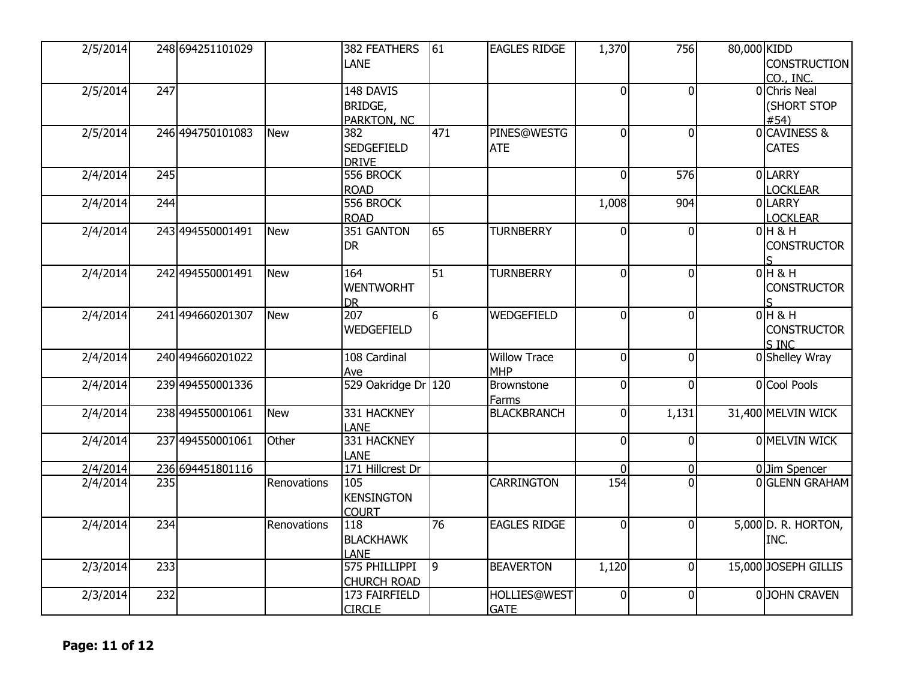| 2/5/2014 |     | 248 694251101029 |             | 382 FEATHERS        | 61              | <b>EAGLES RIDGE</b> | 1,370          | 756            | 80,000 KIDD           |
|----------|-----|------------------|-------------|---------------------|-----------------|---------------------|----------------|----------------|-----------------------|
|          |     |                  |             | <b>LANE</b>         |                 |                     |                |                | CONSTRUCTION          |
|          |     |                  |             |                     |                 |                     |                |                | CO., INC.             |
| 2/5/2014 | 247 |                  |             | 148 DAVIS           |                 |                     | $\overline{0}$ | $\mathbf{0}$   | 0 Chris Neal          |
|          |     |                  |             | BRIDGE,             |                 |                     |                |                | (SHORT STOP           |
|          |     |                  |             | <b>PARKTON, NC</b>  |                 |                     |                |                | #54)                  |
| 2/5/2014 |     | 246 494750101083 | <b>New</b>  | 382                 | 471             | PINES@WESTG         | $\overline{0}$ | $\overline{0}$ | 0CAVINESS &           |
|          |     |                  |             | <b>SEDGEFIELD</b>   |                 | <b>ATE</b>          |                |                | <b>CATES</b>          |
|          |     |                  |             | <b>DRIVE</b>        |                 |                     |                |                |                       |
| 2/4/2014 | 245 |                  |             | 556 BROCK           |                 |                     | $\Omega$       | 576            | <b>OLARRY</b>         |
|          |     |                  |             | <b>ROAD</b>         |                 |                     |                |                | <b>LOCKLEAR</b>       |
| 2/4/2014 | 244 |                  |             | 556 BROCK           |                 |                     | 1,008          | 904            | 0LARRY                |
|          |     |                  |             | <b>ROAD</b>         |                 |                     |                |                | <b>LOCKLEAR</b>       |
| 2/4/2014 |     | 243 494550001491 | <b>New</b>  | 351 GANTON          | 65              | <b>TURNBERRY</b>    | $\Omega$       | $\Omega$       | $0H$ & H              |
|          |     |                  |             | <b>DR</b>           |                 |                     |                |                | <b>CONSTRUCTOR</b>    |
|          |     |                  |             |                     |                 |                     |                |                |                       |
| 2/4/2014 |     | 242 494550001491 | <b>New</b>  | 164                 | 51              | <b>TURNBERRY</b>    | $\Omega$       | $\mathbf{0}$   | $0H$ & H              |
|          |     |                  |             | <b>WENTWORHT</b>    |                 |                     |                |                | <b>CONSTRUCTOR</b>    |
|          |     |                  |             | <b>DR</b>           |                 |                     |                |                |                       |
| 2/4/2014 |     | 241 494660201307 | <b>New</b>  | $\overline{207}$    | $6\overline{6}$ | WEDGEFIELD          | $\Omega$       | $\overline{0}$ | $0H$ & H              |
|          |     |                  |             | WEDGEFIELD          |                 |                     |                |                | <b>CONSTRUCTOR</b>    |
|          |     |                  |             |                     |                 |                     |                |                | S INC                 |
| 2/4/2014 |     | 240 494660201022 |             | 108 Cardinal        |                 | <b>Willow Trace</b> | $\Omega$       | $\mathbf 0$    | 0 Shelley Wray        |
|          |     |                  |             | Ave                 |                 | <b>MHP</b>          |                |                |                       |
| 2/4/2014 |     | 239 494550001336 |             | 529 Oakridge Dr 120 |                 | Brownstone          | $\overline{0}$ | $\overline{0}$ | 0 Cool Pools          |
|          |     |                  |             |                     |                 | <b>Farms</b>        |                |                |                       |
| 2/4/2014 |     | 238 494550001061 | <b>New</b>  | 331 HACKNEY         |                 | <b>BLACKBRANCH</b>  | $\Omega$       | 1,131          | 31,400 MELVIN WICK    |
|          |     |                  |             | <b>LANE</b>         |                 |                     |                |                |                       |
| 2/4/2014 |     | 237 494550001061 | Other       | 331 HACKNEY         |                 |                     | $\overline{0}$ | 0              | 0 MELVIN WICK         |
|          |     |                  |             | <b>LANE</b>         |                 |                     |                |                |                       |
| 2/4/2014 |     | 236 694451801116 |             | 171 Hillcrest Dr    |                 |                     | $\Omega$       | $\overline{0}$ | 0 Jim Spencer         |
| 2/4/2014 | 235 |                  | Renovations | 105                 |                 | <b>CARRINGTON</b>   | 154            | $\Omega$       | <b>O</b> GLENN GRAHAM |
|          |     |                  |             | <b>KENSINGTON</b>   |                 |                     |                |                |                       |
|          |     |                  |             | <b>COURT</b>        |                 |                     |                |                |                       |
| 2/4/2014 | 234 |                  | Renovations | 118                 | 76              | <b>EAGLES RIDGE</b> | $\overline{0}$ | $\overline{0}$ | 5,000 D. R. HORTON,   |
|          |     |                  |             | <b>BLACKHAWK</b>    |                 |                     |                |                | INC.                  |
|          |     |                  |             | <b>LANE</b>         |                 |                     |                |                |                       |
| 2/3/2014 | 233 |                  |             | 575 PHILLIPPI       | $\vert$ 9       | <b>BEAVERTON</b>    | 1,120          | $\overline{0}$ | 15,000 JOSEPH GILLIS  |
|          |     |                  |             | <b>CHURCH ROAD</b>  |                 |                     |                |                |                       |
| 2/3/2014 | 232 |                  |             | 173 FAIRFIELD       |                 | <b>HOLLIES@WEST</b> | $\Omega$       | $\overline{0}$ | 0JOHN CRAVEN          |
|          |     |                  |             | <b>CIRCLE</b>       |                 | <b>GATE</b>         |                |                |                       |